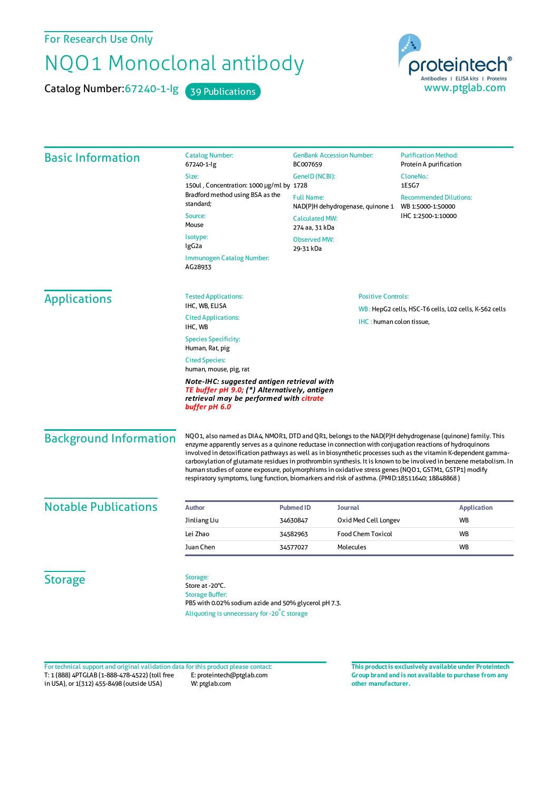For Research Use Only

## NQO1 Monoclonal antibody

Catalog Number: 67240-1-lg 39 Publications



| <b>Basic Information</b>      | <b>Catalog Number:</b><br>67240-1-lg                                                                                                                                                                                                                                                                                                                                                                                                                                                                                                                                                                                                                                    | <b>GenBank Accession Number:</b><br>BC007659                                                                       |                                                                                   | <b>Purification Method:</b><br>Protein A purification                    |
|-------------------------------|-------------------------------------------------------------------------------------------------------------------------------------------------------------------------------------------------------------------------------------------------------------------------------------------------------------------------------------------------------------------------------------------------------------------------------------------------------------------------------------------------------------------------------------------------------------------------------------------------------------------------------------------------------------------------|--------------------------------------------------------------------------------------------------------------------|-----------------------------------------------------------------------------------|--------------------------------------------------------------------------|
|                               | Size:<br>150ul, Concentration: 1000 µg/ml by 1728                                                                                                                                                                                                                                                                                                                                                                                                                                                                                                                                                                                                                       | GeneID (NCBI):<br><b>Full Name:</b><br>NAD(P)H dehydrogenase, quinone 1<br><b>Calculated MW:</b><br>274 aa, 31 kDa |                                                                                   | CloneNo.:<br>1E5G7                                                       |
|                               | Bradford method using BSA as the<br>standard;                                                                                                                                                                                                                                                                                                                                                                                                                                                                                                                                                                                                                           |                                                                                                                    |                                                                                   | <b>Recommended Dilutions:</b><br>WB 1:5000-1:50000<br>IHC 1:2500-1:10000 |
|                               | Source:<br>Mouse                                                                                                                                                                                                                                                                                                                                                                                                                                                                                                                                                                                                                                                        |                                                                                                                    |                                                                                   |                                                                          |
|                               | Isotype:<br>IgG2a                                                                                                                                                                                                                                                                                                                                                                                                                                                                                                                                                                                                                                                       | <b>Observed MW:</b><br>29-31 kDa                                                                                   |                                                                                   |                                                                          |
|                               | <b>Immunogen Catalog Number:</b><br>AG28933                                                                                                                                                                                                                                                                                                                                                                                                                                                                                                                                                                                                                             |                                                                                                                    |                                                                                   |                                                                          |
| <b>Applications</b>           | <b>Tested Applications:</b><br>IHC, WB, ELISA                                                                                                                                                                                                                                                                                                                                                                                                                                                                                                                                                                                                                           | <b>Positive Controls:</b>                                                                                          |                                                                                   |                                                                          |
|                               | <b>Cited Applications:</b><br>IHC, WB                                                                                                                                                                                                                                                                                                                                                                                                                                                                                                                                                                                                                                   |                                                                                                                    | WB: HepG2 cells, HSC-T6 cells, LO2 cells, K-562 cells<br>IHC: human colon tissue, |                                                                          |
|                               | <b>Species Specificity:</b><br>Human, Rat, pig                                                                                                                                                                                                                                                                                                                                                                                                                                                                                                                                                                                                                          |                                                                                                                    |                                                                                   |                                                                          |
|                               | <b>Cited Species:</b><br>human, mouse, pig, rat                                                                                                                                                                                                                                                                                                                                                                                                                                                                                                                                                                                                                         |                                                                                                                    |                                                                                   |                                                                          |
|                               | Note-IHC: suggested antigen retrieval with<br>TE buffer pH 9.0; (*) Alternatively, antigen<br>retrieval may be performed with citrate<br>buffer pH 6.0                                                                                                                                                                                                                                                                                                                                                                                                                                                                                                                  |                                                                                                                    |                                                                                   |                                                                          |
| <b>Background Information</b> | NQO1, also named as DIA4, NMOR1, DTD and QR1, belongs to the NAD(P)H dehydrogenase (quinone) family. This<br>enzyme apparently serves as a quinone reductase in connection with conjugation reactions of hydroquinons<br>involved in detoxification pathways as well as in biosynthetic processes such as the vitamin K-dependent gamma-<br>carboxylation of glutamate residues in prothrombin synthesis. It is known to be involved in benzene metabolism. In<br>human studies of ozone exposure, polymorphisms in oxidative stress genes (NQO1, GSTM1, GSTP1) modify<br>respiratory symptoms, lung function, biomarkers and risk of asthma. (PMID:18511640; 18848868) |                                                                                                                    |                                                                                   |                                                                          |
| <b>Notable Publications</b>   | <b>Author</b>                                                                                                                                                                                                                                                                                                                                                                                                                                                                                                                                                                                                                                                           | <b>Pubmed ID</b><br><b>Journal</b>                                                                                 |                                                                                   | <b>Application</b>                                                       |
|                               | Jinliang Liu                                                                                                                                                                                                                                                                                                                                                                                                                                                                                                                                                                                                                                                            | Oxid Med Cell Longev<br>34630847                                                                                   |                                                                                   | <b>WB</b>                                                                |
|                               | Lei Zhao                                                                                                                                                                                                                                                                                                                                                                                                                                                                                                                                                                                                                                                                | <b>Food Chem Toxicol</b><br>34582963                                                                               |                                                                                   | <b>WB</b>                                                                |
|                               | Juan Chen                                                                                                                                                                                                                                                                                                                                                                                                                                                                                                                                                                                                                                                               | <b>Molecules</b><br>34577027                                                                                       |                                                                                   | <b>WB</b>                                                                |
| <b>Storage</b>                | Storage:<br>Store at -20°C.<br><b>Storage Buffer:</b><br>PBS with 0.02% sodium azide and 50% glycerol pH 7.3.<br>Aliquoting is unnecessary for -20°C storage                                                                                                                                                                                                                                                                                                                                                                                                                                                                                                            |                                                                                                                    |                                                                                   |                                                                          |

T: 1 (888) 4PTGLAB (1-888-478-4522) (toll free in USA), or 1(312) 455-8498 (outside USA) E: proteintech@ptglab.com W: ptglab.com Fortechnical support and original validation data forthis product please contact: **This productis exclusively available under Proteintech**

**Group brand and is not available to purchase from any other manufacturer.**